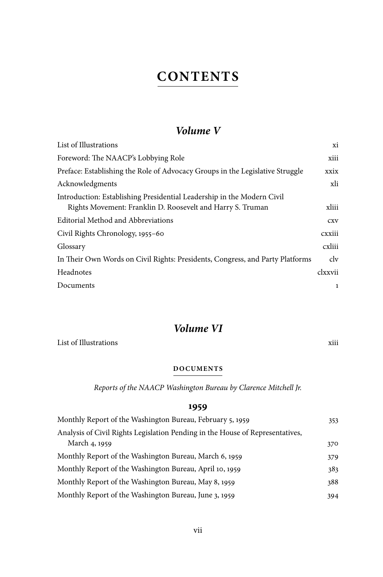# *Volume V*

| List of Illustrations                                                                                                                | хi      |
|--------------------------------------------------------------------------------------------------------------------------------------|---------|
| Foreword: The NAACP's Lobbying Role                                                                                                  | xiii    |
| Preface: Establishing the Role of Advocacy Groups in the Legislative Struggle                                                        | xxix    |
| Acknowledgments                                                                                                                      | xli     |
| Introduction: Establishing Presidential Leadership in the Modern Civil<br>Rights Movement: Franklin D. Roosevelt and Harry S. Truman | xliii   |
| Editorial Method and Abbreviations                                                                                                   | CXV     |
| Civil Rights Chronology, 1955-60                                                                                                     | cxxiii  |
| Glossary                                                                                                                             | cxliii  |
| In Their Own Words on Civil Rights: Presidents, Congress, and Party Platforms                                                        | clv     |
| Headnotes                                                                                                                            | clxxvii |
| Documents                                                                                                                            | 1       |

# *Volume VI*

List of Illustrations  $x$ iii

### **DOCUMENTS**

*Reports of the NAACP Washington Bureau by Clarence Mitchell Jr.*

## **1959**

| Monthly Report of the Washington Bureau, February 5, 1959                                      | 353 |
|------------------------------------------------------------------------------------------------|-----|
| Analysis of Civil Rights Legislation Pending in the House of Representatives,<br>March 4, 1959 |     |
|                                                                                                | 370 |
| Monthly Report of the Washington Bureau, March 6, 1959                                         | 379 |
| Monthly Report of the Washington Bureau, April 10, 1959                                        | 383 |
| Monthly Report of the Washington Bureau, May 8, 1959                                           | 388 |
| Monthly Report of the Washington Bureau, June 3, 1959                                          | 394 |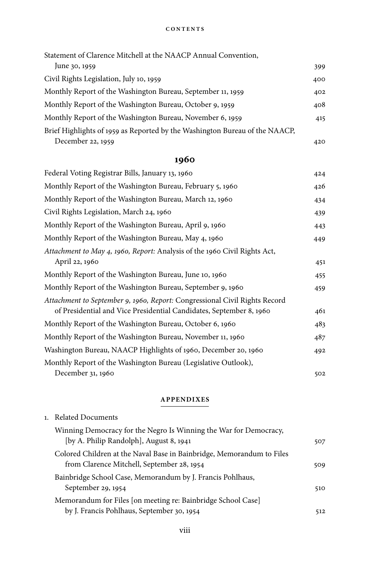| June 30, 1959<br>Civil Rights Legislation, July 10, 1959<br>Monthly Report of the Washington Bureau, September 11, 1959<br>Monthly Report of the Washington Bureau, October 9, 1959<br>Monthly Report of the Washington Bureau, November 6, 1959<br>Brief Highlights of 1959 as Reported by the Washington Bureau of the NAACP,<br>December 22, 1959 | Statement of Clarence Mitchell at the NAACP Annual Convention, |     |
|------------------------------------------------------------------------------------------------------------------------------------------------------------------------------------------------------------------------------------------------------------------------------------------------------------------------------------------------------|----------------------------------------------------------------|-----|
|                                                                                                                                                                                                                                                                                                                                                      |                                                                | 399 |
|                                                                                                                                                                                                                                                                                                                                                      |                                                                | 400 |
|                                                                                                                                                                                                                                                                                                                                                      |                                                                | 402 |
|                                                                                                                                                                                                                                                                                                                                                      |                                                                | 408 |
|                                                                                                                                                                                                                                                                                                                                                      |                                                                | 415 |
|                                                                                                                                                                                                                                                                                                                                                      |                                                                |     |
|                                                                                                                                                                                                                                                                                                                                                      |                                                                | 420 |

# **1960**

| Federal Voting Registrar Bills, January 13, 1960                                                                                                  | 424 |
|---------------------------------------------------------------------------------------------------------------------------------------------------|-----|
| Monthly Report of the Washington Bureau, February 5, 1960                                                                                         | 426 |
| Monthly Report of the Washington Bureau, March 12, 1960                                                                                           | 434 |
| Civil Rights Legislation, March 24, 1960                                                                                                          | 439 |
| Monthly Report of the Washington Bureau, April 9, 1960                                                                                            | 443 |
| Monthly Report of the Washington Bureau, May 4, 1960                                                                                              | 449 |
| Attachment to May 4, 1960, Report: Analysis of the 1960 Civil Rights Act,<br>April 22, 1960                                                       | 451 |
| Monthly Report of the Washington Bureau, June 10, 1960                                                                                            | 455 |
| Monthly Report of the Washington Bureau, September 9, 1960                                                                                        | 459 |
| Attachment to September 9, 1960, Report: Congressional Civil Rights Record<br>of Presidential and Vice Presidential Candidates, September 8, 1960 | 461 |
| Monthly Report of the Washington Bureau, October 6, 1960                                                                                          | 483 |
| Monthly Report of the Washington Bureau, November 11, 1960                                                                                        | 487 |
| Washington Bureau, NAACP Highlights of 1960, December 20, 1960                                                                                    | 492 |
| Monthly Report of the Washington Bureau (Legislative Outlook),                                                                                    |     |
| December 31, 1960                                                                                                                                 | 502 |

#### **APPENDIXES**

| 1. Related Documents                                                                                                |     |
|---------------------------------------------------------------------------------------------------------------------|-----|
| Winning Democracy for the Negro Is Winning the War for Democracy,<br>[by A. Philip Randolph], August 8, 1941        | 507 |
| Colored Children at the Naval Base in Bainbridge, Memorandum to Files<br>from Clarence Mitchell, September 28, 1954 | 509 |
| Bainbridge School Case, Memorandum by J. Francis Pohlhaus,<br>September 29, 1954                                    | 510 |
| Memorandum for Files [on meeting re: Bainbridge School Case]<br>by J. Francis Pohlhaus, September 30, 1954          | 512 |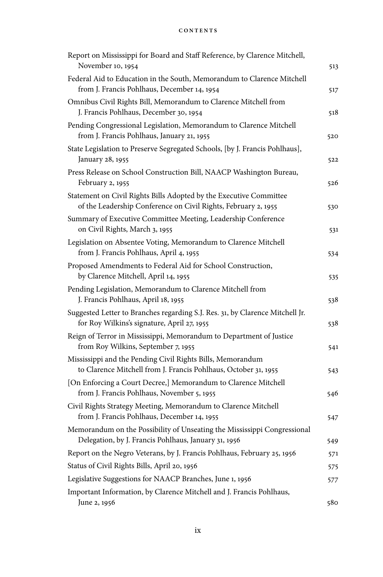| Report on Mississippi for Board and Staff Reference, by Clarence Mitchell,<br>November 10, 1954                                      | 513 |
|--------------------------------------------------------------------------------------------------------------------------------------|-----|
| Federal Aid to Education in the South, Memorandum to Clarence Mitchell                                                               |     |
| from J. Francis Pohlhaus, December 14, 1954                                                                                          | 517 |
| Omnibus Civil Rights Bill, Memorandum to Clarence Mitchell from<br>J. Francis Pohlhaus, December 30, 1954                            | 518 |
| Pending Congressional Legislation, Memorandum to Clarence Mitchell<br>from J. Francis Pohlhaus, January 21, 1955                     | 520 |
| State Legislation to Preserve Segregated Schools, [by J. Francis Pohlhaus],<br>January 28, 1955                                      | 522 |
| Press Release on School Construction Bill, NAACP Washington Bureau,<br>February 2, 1955                                              | 526 |
| Statement on Civil Rights Bills Adopted by the Executive Committee<br>of the Leadership Conference on Civil Rights, February 2, 1955 | 530 |
| Summary of Executive Committee Meeting, Leadership Conference<br>on Civil Rights, March 3, 1955                                      | 531 |
| Legislation on Absentee Voting, Memorandum to Clarence Mitchell<br>from J. Francis Pohlhaus, April 4, 1955                           | 534 |
| Proposed Amendments to Federal Aid for School Construction,<br>by Clarence Mitchell, April 14, 1955                                  | 535 |
| Pending Legislation, Memorandum to Clarence Mitchell from<br>J. Francis Pohlhaus, April 18, 1955                                     | 538 |
| Suggested Letter to Branches regarding S.J. Res. 31, by Clarence Mitchell Jr.<br>for Roy Wilkins's signature, April 27, 1955         | 538 |
| Reign of Terror in Mississippi, Memorandum to Department of Justice<br>from Roy Wilkins, September 7, 1955                           | 541 |
| Mississippi and the Pending Civil Rights Bills, Memorandum<br>to Clarence Mitchell from J. Francis Pohlhaus, October 31, 1955        | 543 |
| [On Enforcing a Court Decree,] Memorandum to Clarence Mitchell<br>from J. Francis Pohlhaus, November 5, 1955                         | 546 |
| Civil Rights Strategy Meeting, Memorandum to Clarence Mitchell<br>from J. Francis Pohlhaus, December 14, 1955                        | 547 |
| Memorandum on the Possibility of Unseating the Mississippi Congressional<br>Delegation, by J. Francis Pohlhaus, January 31, 1956     | 549 |
| Report on the Negro Veterans, by J. Francis Pohlhaus, February 25, 1956                                                              | 571 |
| Status of Civil Rights Bills, April 20, 1956                                                                                         | 575 |
| Legislative Suggestions for NAACP Branches, June 1, 1956                                                                             | 577 |
| Important Information, by Clarence Mitchell and J. Francis Pohlhaus,                                                                 |     |
| June 2, 1956                                                                                                                         | 580 |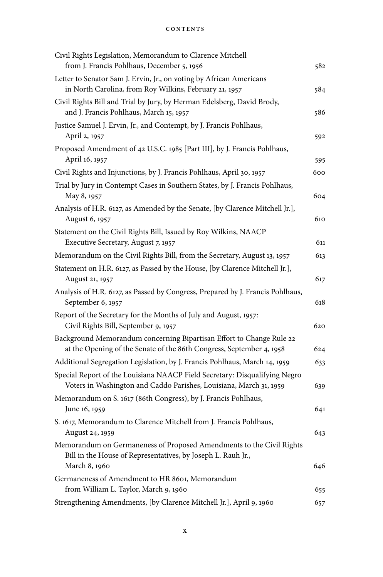| Civil Rights Legislation, Memorandum to Clarence Mitchell                                                                                        |     |
|--------------------------------------------------------------------------------------------------------------------------------------------------|-----|
| from J. Francis Pohlhaus, December 5, 1956                                                                                                       | 582 |
| Letter to Senator Sam J. Ervin, Jr., on voting by African Americans<br>in North Carolina, from Roy Wilkins, February 21, 1957                    | 584 |
| Civil Rights Bill and Trial by Jury, by Herman Edelsberg, David Brody,<br>and J. Francis Pohlhaus, March 15, 1957                                | 586 |
| Justice Samuel J. Ervin, Jr., and Contempt, by J. Francis Pohlhaus,<br>April 2, 1957                                                             | 592 |
| Proposed Amendment of 42 U.S.C. 1985 [Part III], by J. Francis Pohlhaus,<br>April 16, 1957                                                       | 595 |
| Civil Rights and Injunctions, by J. Francis Pohlhaus, April 30, 1957                                                                             | 600 |
| Trial by Jury in Contempt Cases in Southern States, by J. Francis Pohlhaus,<br>May 8, 1957                                                       | 604 |
| Analysis of H.R. 6127, as Amended by the Senate, [by Clarence Mitchell Jr.],<br>August 6, 1957                                                   | 610 |
| Statement on the Civil Rights Bill, Issued by Roy Wilkins, NAACP<br>Executive Secretary, August 7, 1957                                          | 611 |
| Memorandum on the Civil Rights Bill, from the Secretary, August 13, 1957                                                                         | 613 |
| Statement on H.R. 6127, as Passed by the House, [by Clarence Mitchell Jr.],<br>August 21, 1957                                                   | 617 |
| Analysis of H.R. 6127, as Passed by Congress, Prepared by J. Francis Pohlhaus,<br>September 6, 1957                                              | 618 |
| Report of the Secretary for the Months of July and August, 1957:<br>Civil Rights Bill, September 9, 1957                                         | 620 |
| Background Memorandum concerning Bipartisan Effort to Change Rule 22<br>at the Opening of the Senate of the 86th Congress, September 4, 1958     | 624 |
| Additional Segregation Legislation, by J. Francis Pohlhaus, March 14, 1959                                                                       | 633 |
| Special Report of the Louisiana NAACP Field Secretary: Disqualifying Negro<br>Voters in Washington and Caddo Parishes, Louisiana, March 31, 1959 | 639 |
| Memorandum on S. 1617 (86th Congress), by J. Francis Pohlhaus,                                                                                   |     |
| June 16, 1959                                                                                                                                    | 641 |
| S. 1617, Memorandum to Clarence Mitchell from J. Francis Pohlhaus,                                                                               |     |
| August 24, 1959                                                                                                                                  | 643 |
| Memorandum on Germaneness of Proposed Amendments to the Civil Rights<br>Bill in the House of Representatives, by Joseph L. Rauh Jr.,             |     |
| March 8, 1960                                                                                                                                    | 646 |
| Germaneness of Amendment to HR 8601, Memorandum<br>from William L. Taylor, March 9, 1960                                                         | 655 |
| Strengthening Amendments, [by Clarence Mitchell Jr.], April 9, 1960                                                                              | 657 |
|                                                                                                                                                  |     |